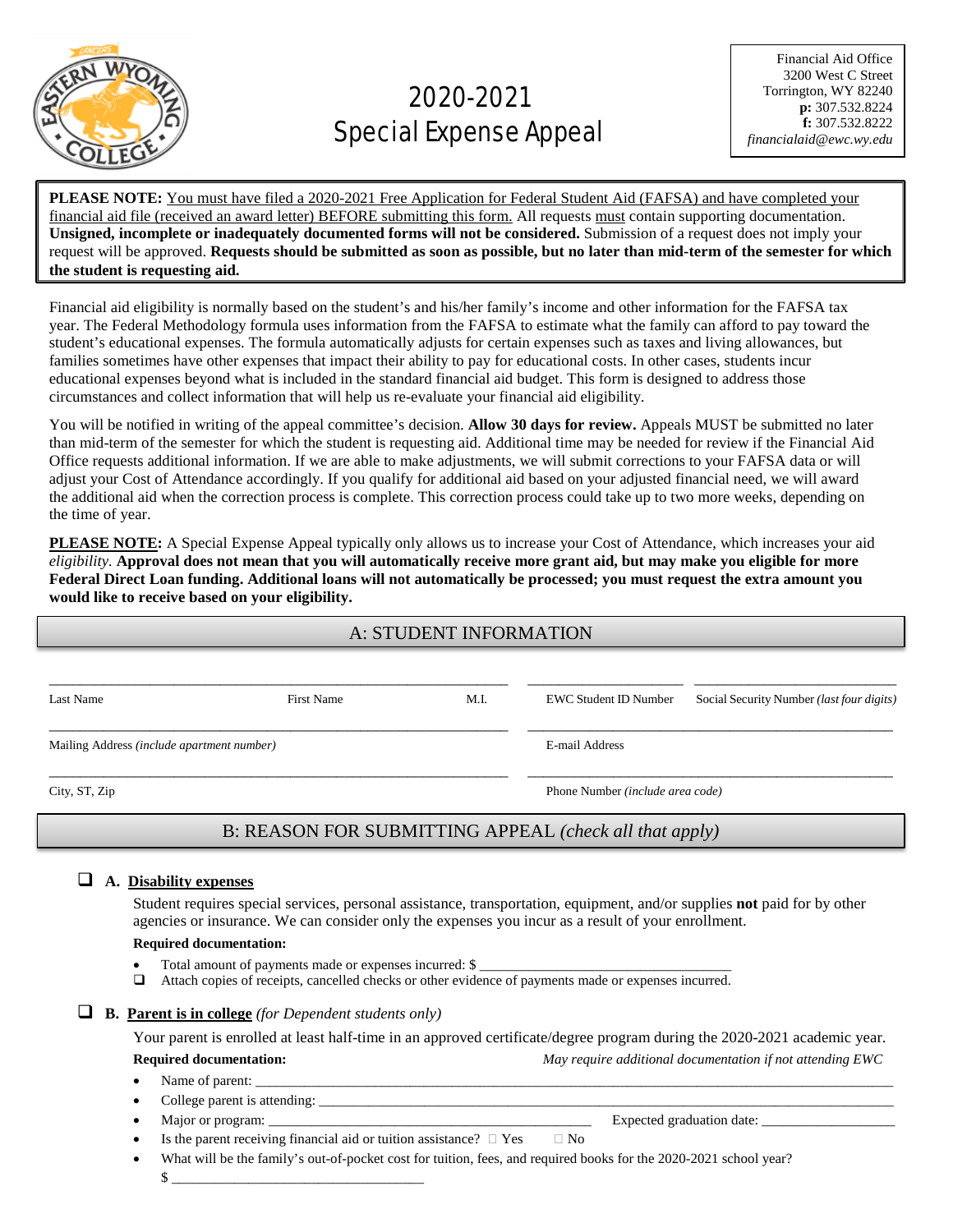

# 2020-2021 Special Expense Appeal

**PLEASE NOTE:** You must have filed a 2020-2021 Free Application for Federal Student Aid (FAFSA) and have completed your financial aid file (received an award letter) BEFORE submitting this form. All requests must contain supporting documentation. **Unsigned, incomplete or inadequately documented forms will not be considered.** Submission of a request does not imply your request will be approved. **Requests should be submitted as soon as possible, but no later than mid-term of the semester for which the student is requesting aid.**

 $\overline{a}$ 

Financial aid eligibility is normally based on the student's and his/her family's income and other information for the FAFSA tax year. The Federal Methodology formula uses information from the FAFSA to estimate what the family can afford to pay toward the student's educational expenses. The formula automatically adjusts for certain expenses such as taxes and living allowances, but families sometimes have other expenses that impact their ability to pay for educational costs. In other cases, students incur educational expenses beyond what is included in the standard financial aid budget. This form is designed to address those circumstances and collect information that will help us re-evaluate your financial aid eligibility.

You will be notified in writing of the appeal committee's decision. **Allow 30 days for review.** Appeals MUST be submitted no later than mid-term of the semester for which the student is requesting aid. Additional time may be needed for review if the Financial Aid Office requests additional information. If we are able to make adjustments, we will submit corrections to your FAFSA data or will adjust your Cost of Attendance accordingly. If you qualify for additional aid based on your adjusted financial need, we will award the additional aid when the correction process is complete. This correction process could take up to two more weeks, depending on the time of year.

**PLEASE NOTE:** A Special Expense Appeal typically only allows us to increase your Cost of Attendance, which increases your aid *eligibility.* **Approval does not mean that you will automatically receive more grant aid, but may make you eligible for more Federal Direct Loan funding. Additional loans will not automatically be processed; you must request the extra amount you would like to receive based on your eligibility.**

## A: STUDENT INFORMATION

| Last Name                                  | First Name                                             | M.I. | <b>EWC Student ID Number</b>     | Social Security Number ( <i>last four digits</i> ) |
|--------------------------------------------|--------------------------------------------------------|------|----------------------------------|----------------------------------------------------|
| Mailing Address (include apartment number) |                                                        |      | E-mail Address                   |                                                    |
| City, ST, Zip                              |                                                        |      | Phone Number (include area code) |                                                    |
|                                            | B: REASON FOR SUBMITTING APPEAL (check all that apply) |      |                                  |                                                    |

## **A. Disability expenses**

Student requires special services, personal assistance, transportation, equipment, and/or supplies **not** paid for by other agencies or insurance. We can consider only the expenses you incur as a result of your enrollment.

#### **Required documentation:**

Total amount of payments made or expenses incurred: \$

\$ \_\_\_\_\_\_\_\_\_\_\_\_\_\_\_\_\_\_\_\_\_\_\_\_\_\_\_\_\_\_\_\_\_\_\_\_

Attach copies of receipts, cancelled checks or other evidence of payments made or expenses incurred.

## **B. Parent is in college** *(for Dependent students only)*

Your parent is enrolled at least half-time in an approved certificate/degree program during the 2020-2021 academic year. **Required documentation:** *May require additional documentation if not attending EWC*

- Name of parent:
- College parent is attending:
	- Major or program: \_\_\_\_\_\_\_\_\_\_\_\_\_\_\_\_\_\_\_\_\_\_\_\_\_\_\_\_\_\_\_\_\_\_\_\_\_\_\_\_\_\_\_\_\_\_ Expected graduation date: \_\_\_\_\_\_\_\_\_\_\_\_\_\_\_\_\_\_\_
- Is the parent receiving financial aid or tuition assistance?  $\Box$  Yes  $\Box$  No
- What will be the family's out-of-pocket cost for tuition, fees, and required books for the 2020-2021 school year?